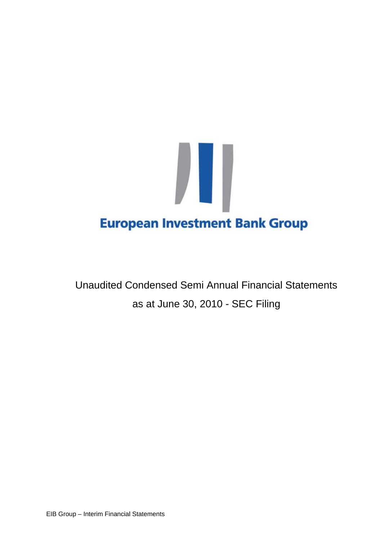

Unaudited Condensed Semi Annual Financial Statements as at June 30, 2010 - SEC Filing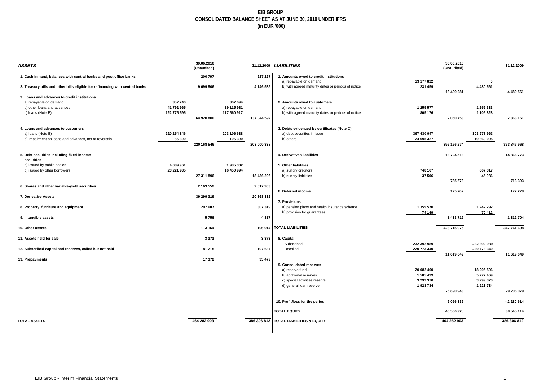#### **EIB GROUP CONSOLIDATED BALANCE SHEET AS AT JUNE 30, 2010 UNDER IFRS (in EUR '000)**

| ASSETS                                                                        |             | 30.06.2010<br>(Unaudited) |             |             | 31.12.2009 LIABILITIES                                           |               | 30.06.2010<br>(Unaudited) |               | 31.12.2009  |
|-------------------------------------------------------------------------------|-------------|---------------------------|-------------|-------------|------------------------------------------------------------------|---------------|---------------------------|---------------|-------------|
| 1. Cash in hand, balances with central banks and post office banks            |             | 200 797                   |             | 227 227     | 1. Amounts owed to credit institutions<br>a) repayable on demand | 13 177 822    |                           | - 0           |             |
| 2. Treasury bills and other bills eligible for refinancing with central banks |             | 9 699 506                 |             | 4 146 585   | b) with agreed maturity dates or periods of notice               | 231 459       |                           | 4 480 561     |             |
| 3. Loans and advances to credit institutions                                  |             |                           |             |             |                                                                  |               | 13 409 281                |               | 4 480 561   |
| a) repayable on demand                                                        | 352 240     |                           | 367 694     |             | 2. Amounts owed to customers                                     |               |                           |               |             |
| b) other loans and advances                                                   | 41 792 965  |                           | 19 115 981  |             | a) repayable on demand                                           | 1 255 577     |                           | 1 256 333     |             |
| c) loans (Note B)                                                             | 122 775 595 |                           | 117 560 917 |             | b) with agreed maturity dates or periods of notice               | 805 176       |                           | 1 106 828     |             |
|                                                                               |             | 164 920 800               |             | 137 044 592 |                                                                  |               | 2 060 753                 |               | 2 363 161   |
| 4. Loans and advances to customers                                            |             |                           |             |             | 3. Debts evidenced by certificates (Note C)                      |               |                           |               |             |
| a) loans (Note B)                                                             | 220 254 846 |                           | 203 106 638 |             | a) debt securities in issue                                      | 367 430 947   |                           | 303 978 963   |             |
| b) Impairment on loans and advances, net of reversals                         | $-86300$    |                           | $-106300$   |             | b) others                                                        | 24 695 327    |                           | 19 869 005    |             |
|                                                                               |             | 220 168 546               |             | 203 000 338 |                                                                  |               | 392 126 274               |               | 323 847 968 |
| 5. Debt securities including fixed-income<br>securities                       |             |                           |             |             | 4. Derivatives liabilities                                       |               | 13 724 513                |               | 14 866 773  |
| a) issued by public bodies                                                    | 4 089 961   |                           | 1985302     |             | 5. Other liabilities                                             |               |                           |               |             |
| b) issued by other borrowers                                                  | 23 221 935  |                           | 16 450 994  |             | a) sundry creditors                                              | 748 167       |                           | 667317        |             |
|                                                                               |             | 27 311 896                |             | 18 436 296  | b) sundry liabilities                                            | 37 506        |                           | 45 986        |             |
|                                                                               |             |                           |             |             |                                                                  |               | 785 673                   |               | 713 303     |
| 6. Shares and other variable-yield securities                                 |             | 2 163 552                 |             | 2 017 903   | 6. Deferred income                                               |               | 175 762                   |               | 177 228     |
| 7. Derivative Assets                                                          |             | 39 299 319                |             | 20 868 332  |                                                                  |               |                           |               |             |
|                                                                               |             |                           |             |             | 7. Provisions                                                    |               |                           |               |             |
| 8. Property, furniture and equipment                                          |             | 297 607                   |             | 307 319     | a) pension plans and health insurance scheme                     | 1 359 570     |                           | 1 242 292     |             |
|                                                                               |             |                           |             |             | b) provision for guarantees                                      | 74 149        |                           | 70 412        |             |
| 9. Intangible assets                                                          |             | 5756                      |             | 4817        |                                                                  |               | 1 433 719                 |               | 1 312 704   |
| 10. Other assets                                                              |             | 113 164                   |             | 106 914     | <b>TOTAL LIABILITIES</b>                                         |               | 423 715 975               |               | 347 761 698 |
| 11. Assets held for sale                                                      |             | 3373                      |             | 3 3 7 3     | 8. Capital                                                       |               |                           |               |             |
|                                                                               |             |                           |             |             | - Subscribed                                                     | 232 392 989   |                           | 232 392 989   |             |
| 12. Subscribed capital and reserves, called but not paid                      |             | 81 215                    |             | 107 637     | - Uncalled                                                       | - 220 773 340 | 11 619 649                | - 220 773 340 | 11 619 649  |
| 13. Prepayments                                                               |             | 17 372                    |             | 35 479      |                                                                  |               |                           |               |             |
|                                                                               |             |                           |             |             | 9. Consolidated reserves                                         |               |                           |               |             |
|                                                                               |             |                           |             |             | a) reserve fund                                                  | 20 082 400    |                           | 18 205 506    |             |
|                                                                               |             |                           |             |             | b) additional reserves                                           | 1585439       |                           | 5777469       |             |
|                                                                               |             |                           |             |             | c) special activities reserve                                    | 3 299 370     |                           | 3 299 370     |             |
|                                                                               |             |                           |             |             | d) general loan reserve                                          | 1923734       |                           | 1923734       |             |
|                                                                               |             |                           |             |             |                                                                  |               | 26 890 943                |               | 29 206 079  |
|                                                                               |             |                           |             |             | 10. Profit/loss for the period                                   |               | 2 056 336                 |               | $-2280614$  |
|                                                                               |             |                           |             |             | <b>TOTAL EQUITY</b>                                              |               | 40 566 928                |               | 38 545 114  |
| <b>TOTAL ASSETS</b>                                                           |             | 464 282 903               |             | 386 306 812 | <b>TOTAL LIABILITIES &amp; EQUITY</b>                            |               | 464 282 903               |               | 386 306 812 |
|                                                                               |             |                           |             |             |                                                                  |               |                           |               |             |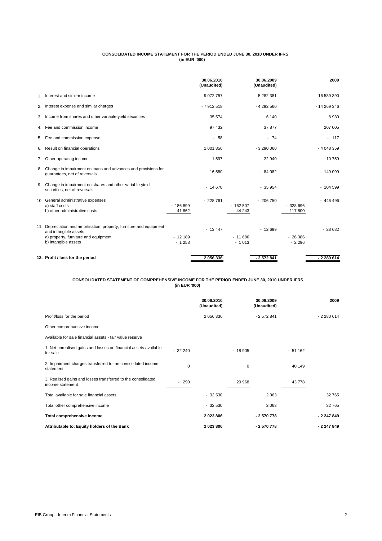#### **CONSOLIDATED INCOME STATEMENT FOR THE PERIOD ENDED JUNE 30, 2010 UNDER IFRS (in EUR '000)**

|    |                                                                                                                                                               |                       | 30.06.2010<br>(Unaudited)      |                       | 30.06.2009<br>(Unaudited) |                        | 2009        |
|----|---------------------------------------------------------------------------------------------------------------------------------------------------------------|-----------------------|--------------------------------|-----------------------|---------------------------|------------------------|-------------|
|    | 1. Interest and similar income                                                                                                                                |                       | 9 0 7 2 7 5 7                  |                       | 5 282 381                 |                        | 16 539 390  |
|    | 2. Interest expense and similar charges                                                                                                                       |                       | $-7912518$                     |                       | $-4292560$                |                        | $-14269346$ |
|    | 3. Income from shares and other variable-yield securities                                                                                                     |                       | 35 574                         |                       | 6 1 4 0                   |                        | 8930        |
|    | 4. Fee and commission income                                                                                                                                  |                       | 97 432                         |                       | 37 877                    |                        | 207 005     |
|    | 5. Fee and commission expense                                                                                                                                 |                       | 58<br>$\overline{\phantom{0}}$ |                       | $-74$                     |                        | $-117$      |
| 6. | Result on financial operations                                                                                                                                |                       | 1 001 850                      |                       | $-3290000$                |                        | $-4048359$  |
|    | 7. Other operating income                                                                                                                                     |                       | 1597                           |                       | 22 940                    |                        | 10759       |
|    | 8. Change in impairment on loans and advances and provisions for<br>quarantees, net of reversals                                                              |                       | 16 580                         |                       | $-84082$                  |                        | $-149099$   |
|    | 9. Change in impairment on shares and other variable-yield<br>securities, net of reversals                                                                    |                       | $-14670$                       |                       | $-35954$                  |                        | $-104599$   |
|    | 10. General administrative expenses<br>a) staff costs<br>b) other administrative costs                                                                        | $-186899$<br>$-41862$ | $-228761$                      | $-162507$<br>$-44243$ | $-206750$                 | $-328696$<br>$-117800$ | $-446496$   |
|    | 11. Depreciation and amortisation: property, furniture and equipment<br>and intangible assets<br>a) property, furniture and equipment<br>b) intangible assets | $-12189$<br>$-1258$   | $-13447$                       | $-11686$<br>$-1013$   | $-12699$                  | $-26386$<br>$-2296$    | $-28682$    |
|    | 12. Profit / loss for the period                                                                                                                              |                       | 2056336                        |                       | $-2572841$                |                        | $-2280614$  |

#### **CONSOLIDATED STATEMENT OF COMPREHENSIVE INCOME FOR THE PERIOD ENDED JUNE 30, 2010 UNDER IFRS (in EUR '000)**

|                                                                                  |          | 30.06.2010<br>(Unaudited) |          | 30.06.2009<br>(Unaudited) |          | 2009       |
|----------------------------------------------------------------------------------|----------|---------------------------|----------|---------------------------|----------|------------|
| Profit/loss for the period                                                       |          | 2 056 336                 |          | $-2572841$                |          | $-2280614$ |
| Other comprehansive income                                                       |          |                           |          |                           |          |            |
| Available for sale financial assets - fair value reserve                         |          |                           |          |                           |          |            |
| 1. Net unrealised gains and losses on financial assets available<br>for sale     | $-32240$ |                           | $-18905$ |                           | $-51162$ |            |
| 2. Impairment charges transferred to the consolidated income<br>statement        | 0        |                           | 0        |                           | 40 149   |            |
| 3. Realised gains and losses transferred to the consolidated<br>income statement | $-290$   |                           | 20 968   |                           | 43778    |            |
| Total available for sale financial assets                                        |          | $-32530$                  |          | 2 0 6 3                   |          | 32765      |
| Total other comprehensive income                                                 |          | $-32530$                  |          | 2 0 6 3                   |          | 32765      |
| Total comprehensive income                                                       |          | 2023806                   |          | $-2570778$                |          | $-2247849$ |
| Attributable to: Equity holders of the Bank                                      |          | 2023806                   |          | $-2570778$                |          | $-2247849$ |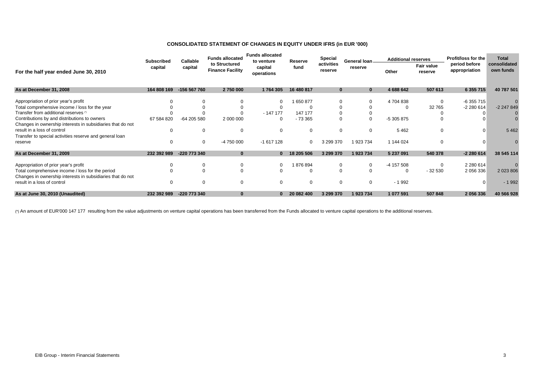#### **CONSOLIDATED STATEMENT OF CHANGES IN EQUITY UNDER IFRS (in EUR '000)**

|                                                            | <b>Subscribed</b> | Callable     | <b>Funds allocated</b>                   | <b>Funds allocated</b><br>to venture |            | <b>Special</b><br>Reserve |                          | <b>Additional reserves</b> |                       | Profit/loss for the<br><b>Total</b> |                           |
|------------------------------------------------------------|-------------------|--------------|------------------------------------------|--------------------------------------|------------|---------------------------|--------------------------|----------------------------|-----------------------|-------------------------------------|---------------------------|
| For the half year ended June 30, 2010                      | capital           | capital      | to Structured<br><b>Finance Facility</b> | capital<br>operations                | fund       | activities<br>reserve     | General loan_<br>reserve | Other                      | Fair value<br>reserve | period before<br>appropriation      | consolidated<br>own funds |
| As at December 31, 2008                                    | 164 808 169       | -156 567 760 | 2 750 000                                | 1764 305                             | 16 480 817 | $\mathbf{0}$              | $\bf{0}$                 | 4 688 642                  | 507 613               | 6 355 715                           | 40 787 501                |
| Appropriation of prior year's profit                       |                   |              |                                          | $\Omega$                             | 650 877    |                           | $\Omega$                 | 4704838                    | $\mathbf 0$           | $-6355715$                          |                           |
| Total comprehensive income / loss for the year             |                   |              |                                          |                                      |            |                           |                          |                            | 32 765                | $-2280614$                          | -2 247 849                |
| Transfer from additional reserves (1)                      |                   |              |                                          | $-14717$                             | 147 177    |                           |                          |                            |                       |                                     |                           |
| Contributions by and distributions to owners               | 67 584 820        | -64 205 580  | 2 000 000                                | $\Omega$                             | $-73.365$  | $\Omega$                  | $\mathbf 0$              | -5 305 875                 | $\Omega$              |                                     |                           |
| Changes in ownership interests in subsidiaries that do not |                   |              |                                          |                                      |            |                           |                          |                            |                       |                                     |                           |
| result in a loss of control                                | $\Omega$          | 0            | $\Omega$                                 | 0                                    |            | $\Omega$                  | $\Omega$                 | 5462                       | $\mathbf{0}$          | $\Omega$                            | 5 4 6 2                   |
| Transfer to special activities reserve and general loan    |                   |              |                                          |                                      |            |                           |                          |                            |                       |                                     |                           |
| reserve                                                    | 0                 | 0            | -4 750 000                               | $-1617128$                           | $\Omega$   | 3 299 370                 | 1 923 734                | 1 144 024                  | $\Omega$              |                                     |                           |
| As at December 31, 2009                                    | 232 392 989       | -220 773 340 | $\bf{0}$                                 | $\bf{0}$                             | 18 205 506 | 3 299 370                 | 1923734                  | 5 237 091                  | 540 378               | -2 280 614                          | 38 545 114                |
| Appropriation of prior year's profit                       |                   |              | 0                                        | 0                                    | 876 894    |                           | $\mathbf{0}$             | -4 157 508                 | $\Omega$              | 2 2 8 0 6 1 4                       |                           |
| Total comprehensive income / loss for the period           |                   |              | $\Omega$                                 | 0                                    |            | $\Omega$                  |                          |                            | $-32530$              | 2 056 336                           | 2 023 806                 |
| Changes in ownership interests in subsidiaries that do not |                   |              |                                          |                                      |            |                           |                          |                            |                       |                                     |                           |
| result in a loss of control                                |                   |              | $\Omega$                                 | 0                                    |            | $\Omega$                  | $\Omega$                 | $-1992$                    |                       |                                     | $-1992$                   |
| As at June 30, 2010 (Unaudited)                            | 232 392 989       | -220 773 340 |                                          |                                      | 20 082 400 | 3 299 370                 | 1923734                  | 1 077 591                  | 507848                | 2 056 336                           | 40 566 928                |

(\*) An amount of EUR'000 147 177 resulting from the value adjustments on venture capital operations has been transferred from the Funds allocated to venture capital operations to the additional reserves.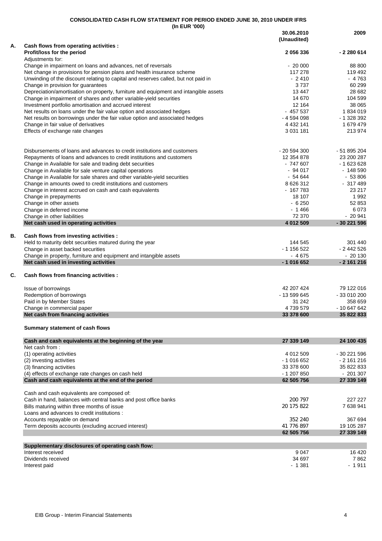|    | (In EUR '000)                                                                                                                                              |                           |                  |
|----|------------------------------------------------------------------------------------------------------------------------------------------------------------|---------------------------|------------------|
|    |                                                                                                                                                            | 30.06.2010<br>(Unaudited) | 2009             |
| А. | Cash flows from operating activities :                                                                                                                     |                           |                  |
|    | Profit/loss for the period                                                                                                                                 | 2 056 336                 | - 2 280 614      |
|    | Adjustments for:                                                                                                                                           |                           |                  |
|    | Change in impairment on loans and advances, net of reversals                                                                                               | $-20000$                  | 88 800           |
|    | Net change in provisions for pension plans and health insurance scheme                                                                                     | 117 278                   | 119 492          |
|    | Unwinding of the discount relating to capital and reserves called, but not paid in                                                                         | $-2410$                   | $-4763$          |
|    | Change in provision for guarantees                                                                                                                         | 3737<br>13 447            | 60 299<br>28 682 |
|    | Depreciation/amortisation on property, furniture and equipment and intangible assets<br>Change in impairment of shares and other variable-yield securities | 14 670                    | 104 599          |
|    | Investment portfolio amortisation and accrued interest                                                                                                     | 12 164                    | 38 065           |
|    | Net results on loans under the fair value option and associated hedges                                                                                     | $-457537$                 | 1834019          |
|    | Net results on borrowings under the fair value option and associated hedges                                                                                | - 4 594 098               | - 1 328 392      |
|    | Change in fair value of derivatives                                                                                                                        | 4 4 3 2 1 4 1             | 1 679 479        |
|    | Effects of exchange rate changes                                                                                                                           | 3 0 31 1 81               | 213 974          |
|    |                                                                                                                                                            |                           |                  |
|    | Disbursements of loans and advances to credit institutions and customers                                                                                   | - 20 594 300              | - 51 895 204     |
|    | Repayments of loans and advances to credit institutions and customers                                                                                      | 12 354 878                | 23 200 287       |
|    | Change in Available for sale and trading debt securities                                                                                                   | - 747 607                 | - 1 623 628      |
|    | Change in Available for sale venture capital operations                                                                                                    | $-94017$                  | $-148590$        |
|    | Change in Available for sale shares and other variable-yield securities                                                                                    | - 54 644                  | $-53806$         |
|    | Change in amounts owed to credit institutions and customers                                                                                                | 8 626 312                 | $-317489$        |
|    | Change in interest accrued on cash and cash equivalents                                                                                                    | - 167 783                 | 23 217           |
|    | Change in prepayments                                                                                                                                      | 18 107                    | 1992             |
|    | Change in other assets                                                                                                                                     | $-6250$                   | 52 853           |
|    | Change in deferred income                                                                                                                                  | $-1466$                   | 6073             |
|    | Change in other liabilities                                                                                                                                | 72 370                    | $-20941$         |
|    | Net cash used in operating activities                                                                                                                      | 4 012 509                 | -30 221 596      |
| В. | Cash flows from investing activities :                                                                                                                     |                           |                  |
|    | Held to maturity debt securities matured during the year                                                                                                   | 144 545                   | 301 440          |
|    | Change in asset backed securities                                                                                                                          | - 1 156 522               | - 2 442 526      |
|    | Change in property, furniture and equipment and intangible assets                                                                                          | $-4675$                   | $-20130$         |
|    | Net cash used in investing activities                                                                                                                      | $-1016652$                | $-2161216$       |
| C. | Cash flows from financing activities :                                                                                                                     |                           |                  |
|    | Issue of borrowings                                                                                                                                        | 42 207 424                | 79 122 016       |
|    | Redemption of borrowings                                                                                                                                   | - 13 599 645              | - 33 010 200     |
|    | Paid in by Member States                                                                                                                                   | 31 242                    | 358 659          |
|    | Change in commercial paper                                                                                                                                 | 4739579                   | - 10 647 642     |
|    | Net cash from financing activities                                                                                                                         | 33 378 600                | 35 822 833       |
|    | Summary statement of cash flows                                                                                                                            |                           |                  |
|    | Cash and cash equivalents at the beginning of the year                                                                                                     | 27 339 149                | 24 100 435       |
|    | Net cash from:                                                                                                                                             | 4 012 509                 | - 30 221 596     |
|    | (1) operating activities<br>(2) investing activities                                                                                                       | - 1 016 652               | - 2 161 216      |
|    | (3) financing activities                                                                                                                                   | 33 378 600                | 35 822 833       |
|    | (4) effects of exchange rate changes on cash held                                                                                                          | $-1207850$                | $-201307$        |
|    | Cash and cash equivalents at the end of the period                                                                                                         | 62 505 756                | 27 339 149       |
|    | Cash and cash equivalents are composed of:                                                                                                                 |                           |                  |
|    | Cash in hand, balances with central banks and post office banks                                                                                            | 200 797                   | 227 227          |
|    | Bills maturing within three months of issue                                                                                                                | 20 175 822                | 7638941          |
|    | Loans and advances to credit institutions :                                                                                                                |                           |                  |
|    | Accounts repayable on demand                                                                                                                               | 352 240                   | 367 694          |
|    | Term deposits accounts (excluding accrued interest)                                                                                                        | 41 776 897                | 19 105 287       |
|    |                                                                                                                                                            | 62 505 756                | 27 339 149       |
|    | Supplementary disclosures of operating cash flow:                                                                                                          |                           |                  |
|    | Interest received                                                                                                                                          | 9 0 4 7                   | 16 4 20          |
|    | Dividends received                                                                                                                                         | 34 697                    | 7862             |
|    | Interest paid                                                                                                                                              | $-1381$                   | $-1911$          |
|    |                                                                                                                                                            |                           |                  |

**CONSOLIDATED CASH FLOW STATEMENT FOR PERIOD ENDED JUNE 30, 2010 UNDER IFRS**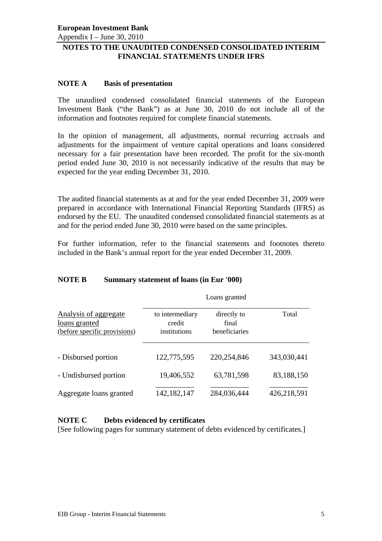Appendix I – June 30, 2010

# **NOTES TO THE UNAUDITED CONDENSED CONSOLIDATED INTERIM FINANCIAL STATEMENTS UNDER IFRS**

## **NOTE A Basis of presentation**

The unaudited condensed consolidated financial statements of the European Investment Bank ("the Bank") as at June 30, 2010 do not include all of the information and footnotes required for complete financial statements.

In the opinion of management, all adjustments, normal recurring accruals and adjustments for the impairment of venture capital operations and loans considered necessary for a fair presentation have been recorded. The profit for the six-month period ended June 30, 2010 is not necessarily indicative of the results that may be expected for the year ending December 31, 2010.

The audited financial statements as at and for the year ended December 31, 2009 were prepared in accordance with International Financial Reporting Standards (IFRS) as endorsed by the EU. The unaudited condensed consolidated financial statements as at and for the period ended June 30, 2010 were based on the same principles.

For further information, refer to the financial statements and footnotes thereto included in the Bank's annual report for the year ended December 31, 2009.

# **NOTE B Summary statement of loans (in Eur '000)**

|                                                                        | Loans granted                             |                                       |             |  |  |  |  |
|------------------------------------------------------------------------|-------------------------------------------|---------------------------------------|-------------|--|--|--|--|
| Analysis of aggregate<br>loans granted<br>(before specific provisions) | to intermediary<br>credit<br>institutions | directly to<br>final<br>heneficiaries | Total       |  |  |  |  |
| - Disbursed portion                                                    | 122,775,595                               | 220, 254, 846                         | 343,030,441 |  |  |  |  |
| - Undisbursed portion                                                  | 19,406,552                                | 63,781,598                            | 83,188,150  |  |  |  |  |
| Aggregate loans granted                                                | 142, 182, 147                             | 284,036,444                           | 426,218,591 |  |  |  |  |

## **NOTE C Debts evidenced by certificates**

[See following pages for summary statement of debts evidenced by certificates.]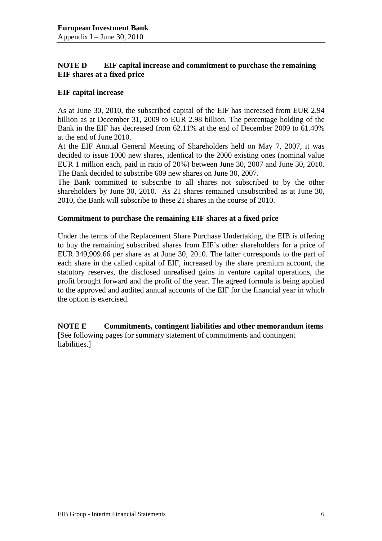# **NOTE D EIF capital increase and commitment to purchase the remaining EIF shares at a fixed price**

## **EIF capital increase**

As at June 30, 2010, the subscribed capital of the EIF has increased from EUR 2.94 billion as at December 31, 2009 to EUR 2.98 billion. The percentage holding of the Bank in the EIF has decreased from 62.11% at the end of December 2009 to 61.40% at the end of June 2010.

At the EIF Annual General Meeting of Shareholders held on May 7, 2007, it was decided to issue 1000 new shares, identical to the 2000 existing ones (nominal value EUR 1 million each, paid in ratio of 20%) between June 30, 2007 and June 30, 2010. The Bank decided to subscribe 609 new shares on June 30, 2007.

The Bank committed to subscribe to all shares not subscribed to by the other shareholders by June 30, 2010. As 21 shares remained unsubscribed as at June 30, 2010, the Bank will subscribe to these 21 shares in the course of 2010.

## **Commitment to purchase the remaining EIF shares at a fixed price**

Under the terms of the Replacement Share Purchase Undertaking, the EIB is offering to buy the remaining subscribed shares from EIF's other shareholders for a price of EUR 349,909.66 per share as at June 30, 2010. The latter corresponds to the part of each share in the called capital of EIF, increased by the share premium account, the statutory reserves, the disclosed unrealised gains in venture capital operations, the profit brought forward and the profit of the year. The agreed formula is being applied to the approved and audited annual accounts of the EIF for the financial year in which the option is exercised.

**NOTE E Commitments, contingent liabilities and other memorandum items**  [See following pages for summary statement of commitments and contingent liabilities.]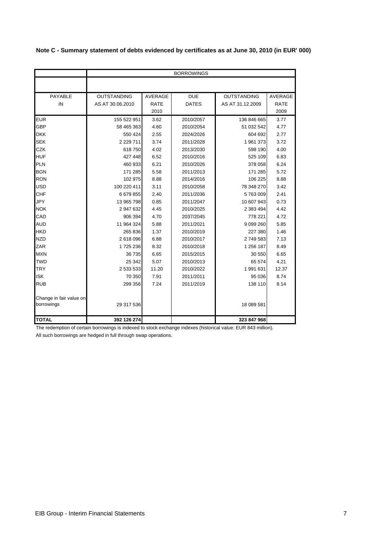|  | Note C - Summary statement of debts evidenced by certificates as at June 30, 2010 (in EUR' 000) |  |  |  |  |
|--|-------------------------------------------------------------------------------------------------|--|--|--|--|
|--|-------------------------------------------------------------------------------------------------|--|--|--|--|

|                                       |                    |                | <b>BORROWINGS</b> |                    |             |
|---------------------------------------|--------------------|----------------|-------------------|--------------------|-------------|
|                                       |                    |                |                   |                    |             |
| PAYABLE                               | <b>OUTSTANDING</b> | <b>AVERAGE</b> | <b>DUE</b>        | <b>OUTSTANDING</b> | AVERAGE     |
| IN                                    | AS AT 30.06.2010   | <b>RATE</b>    | <b>DATES</b>      | AS AT 31.12.2009   | <b>RATE</b> |
|                                       |                    | 2010           |                   |                    | 2009        |
| <b>EUR</b>                            | 155 522 951        | 3.62           | 2010/2057         | 136 846 665        | 3.77        |
| <b>GBP</b>                            | 58 465 363         | 4.60           | 2010/2054         | 51 032 542         | 4.77        |
| <b>DKK</b>                            | 550 424            | 2.55           | 2024/2026         | 604 692            | 2.77        |
| <b>SEK</b>                            | 2 2 2 7 1 1        | 3.74           | 2011/2028         | 1961373            | 3.72        |
| <b>CZK</b>                            | 618 750            | 4.02           | 2013/2030         | 598 190            | 4.00        |
| <b>HUF</b>                            | 427 448            | 6.52           | 2010/2016         | 525 109            | 6.83        |
| <b>PLN</b>                            | 460 933            | 6.21           | 2010/2026         | 378 058            | 6.24        |
| <b>BGN</b>                            | 171 285            | 5.58           | 2011/2013         | 171 285            | 5.72        |
| <b>RON</b>                            | 102 975            | 8.88           | 2014/2016         | 106 225            | 8.88        |
| <b>USD</b>                            | 100 220 411        | 3.11           | 2010/2058         | 78 348 270         | 3.42        |
| <b>CHF</b>                            | 6 679 855          | 2.40           | 2011/2036         | 5763009            | 2.41        |
| <b>JPY</b>                            | 13 965 798         | 0.85           | 2011/2047         | 10 607 943         | 0.73        |
| <b>NOK</b>                            | 2 947 632          | 4.45           | 2010/2025         | 2 383 494          | 4.42        |
| CAD                                   | 906 394            | 4.70           | 2037/2045         | 778 221            | 4.72        |
| <b>AUD</b>                            | 11 964 324         | 5.88           | 2011/2021         | 9 0 9 26 0         | 5.85        |
| <b>HKD</b>                            | 265 836            | 1.37           | 2010/2019         | 227 380            | 1.46        |
| <b>NZD</b>                            | 2 618 096          | 6.88           | 2010/2017         | 2749583            | 7.13        |
| ZAR                                   | 1725236            | 8.32           | 2010/2018         | 1 256 187          | 8.49        |
| <b>MXN</b>                            | 36 735             | 6.65           | 2015/2015         | 30 550             | 6.65        |
| <b>TWD</b>                            | 25 342             | 5.07           | 2010/2013         | 65 574             | 4.21        |
| <b>TRY</b>                            | 2 533 533          | 11.20          | 2010/2022         | 1 991 631          | 12.37       |
| <b>ISK</b>                            | 70 350             | 7.91           | 2011/2011         | 95 036             | 8.74        |
| <b>RUB</b>                            | 299 356            | 7.24           | 2011/2019         | 138 110            | 8.14        |
| Change in fair value on<br>borrowings | 29 317 536         |                |                   | 18 089 581         |             |
| <b>TOTAL</b>                          | 392 126 274        |                |                   | 323 847 968        |             |

The redemption of certain borrowings is indexed to stock exchange indexes (historical value: EUR 843 million).

All such borrowings are hedged in full through swap operations.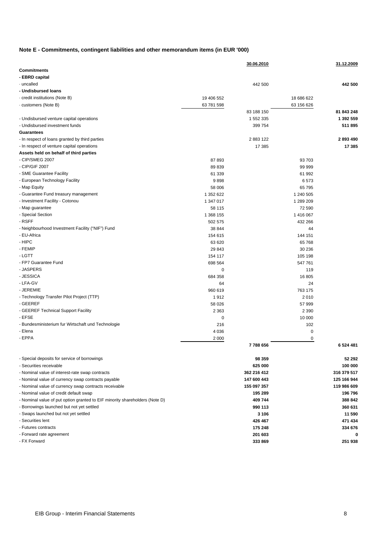#### **Note E - Commitments, contingent liabilities and other memorandum items (in EUR '000)**

|                                                                             |            | 30.06.2010  |            | 31.12.2009   |
|-----------------------------------------------------------------------------|------------|-------------|------------|--------------|
| <b>Commitments</b>                                                          |            |             |            |              |
| - EBRD capital                                                              |            |             |            |              |
| · uncalled                                                                  |            | 442 500     |            | 442 500      |
| - Undisbursed loans                                                         |            |             |            |              |
| · credit institutions (Note B)                                              | 19 406 552 |             | 18 686 622 |              |
| customers (Note B)                                                          | 63 781 598 |             | 63 156 626 |              |
|                                                                             |            | 83 188 150  |            | 81 843 248   |
| - Undisbursed venture capital operations                                    |            | 1 552 335   |            | 1 392 559    |
| - Undisbursed investment funds                                              |            | 399 754     |            | 511 895      |
| <b>Guarantees</b>                                                           |            |             |            |              |
| - In respect of loans granted by third parties                              |            | 2883122     |            | 2893490      |
| - In respect of venture capital operations                                  |            | 17 385      |            | 17 385       |
| Assets held on behalf of third parties                                      |            |             |            |              |
| - CIP/SMEG 2007                                                             | 87 893     |             | 93 703     |              |
| - CIP/GIF 2007                                                              | 89 839     |             | 99 999     |              |
| - SME Guarantee Facility                                                    | 61 339     |             | 61 992     |              |
| - European Technology Facility                                              | 9898       |             | 6573       |              |
| - Map Equity                                                                | 58 006     |             | 65 795     |              |
| - Guarantee Fund treasury management                                        | 1 352 622  |             | 1 240 505  |              |
| - Investment Facility - Cotonou                                             | 1 347 017  |             | 1 289 209  |              |
| - Map guarantee                                                             | 58 115     |             | 72 590     |              |
| - Special Section                                                           | 1 368 155  |             | 1416 067   |              |
| - RSFF                                                                      | 502 575    |             | 432 266    |              |
| - Neighbourhood Investment Facility ("NIF") Fund                            | 38 844     |             | 44         |              |
| - EU-Africa                                                                 | 154 615    |             | 144 151    |              |
| - HIPC                                                                      | 63 620     |             | 65 768     |              |
| - FEMIP                                                                     | 29 843     |             | 30 236     |              |
| - LGTT                                                                      | 154 117    |             | 105 198    |              |
| - FP7 Guarantee Fund                                                        | 698 564    |             | 547 761    |              |
| - JASPERS                                                                   | 0          |             | 119        |              |
| - JESSICA                                                                   | 684 358    |             | 16 805     |              |
| - LFA-GV                                                                    | 64         |             | 24         |              |
| - JEREMIE                                                                   | 960 619    |             | 763 175    |              |
| - Technology Transfer Pilot Project (TTP)                                   |            |             | 2010       |              |
| - GEEREF                                                                    | 1912       |             |            |              |
|                                                                             | 58 0 26    |             | 57 999     |              |
| - GEEREF Technical Support Facility                                         | 2 3 6 3    |             | 2 3 9 0    |              |
| - EFSE                                                                      | 0          |             | 10 000     |              |
| - Bundesministerium fur Wirtschaft und Technologie                          | 216        |             | 102        |              |
| - Elena                                                                     | 4 0 3 6    |             | 0          |              |
| - EPPA                                                                      | 2 0 0 0    |             | 0          |              |
|                                                                             |            | 7788656     |            | 6 5 24 4 8 1 |
| - Special deposits for service of borrowings                                |            | 98 359      |            | 52 292       |
| - Securities receivable                                                     |            | 625 000     |            | 100 000      |
| - Nominal value of interest-rate swap contracts                             |            | 362 216 412 |            | 316 379 517  |
|                                                                             |            |             |            |              |
| - Nominal value of currency swap contracts payable                          |            | 147 600 443 |            | 125 166 944  |
| - Nominal value of currency swap contracts receivable                       |            | 155 097 357 |            | 119 986 609  |
| - Nominal value of credit default swap                                      |            | 195 289     |            | 196796       |
| - Nominal value of put option granted to EIF minority shareholders (Note D) |            | 409 744     |            | 388 842      |
| - Borrowings launched but not yet settled                                   |            | 990 113     |            | 360 631      |
| - Swaps launched but not yet settled                                        |            | 3 1 0 6     |            | 11 590       |
| - Securities lent                                                           |            | 426 467     |            | 471 434      |
| - Futures contracts                                                         |            | 175 248     |            | 334 676      |
| - Forward rate agreement                                                    |            | 201 603     |            | 0            |
| - FX Forward                                                                |            | 333 869     |            | 251938       |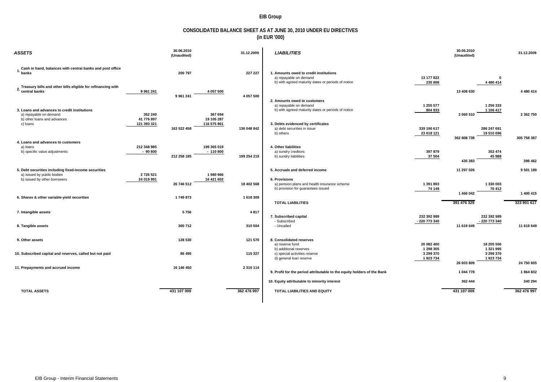#### **EIB Group**

#### **CONSOLIDATED BALANCE SHEET AS AT JUNE 30, 2010 UNDER EU DIRECTIVES (in EUR '000)**

| <b>ASSETS</b>                                                                                         | (Unaudited)                            | 31.12.2009                              | <b>LIABILITIES</b>                                                                                                     |                           | 30.06.2010<br>(Unaudited) |                           | 31.12.2009  |
|-------------------------------------------------------------------------------------------------------|----------------------------------------|-----------------------------------------|------------------------------------------------------------------------------------------------------------------------|---------------------------|---------------------------|---------------------------|-------------|
| Cash in hand, balances with central banks and post office<br>1. banks                                 | 200 797                                | 227 227                                 | 1. Amounts owed to credit institutions<br>a) repayable on demand<br>b) with agreed maturity dates or periods of notice | 13 177 822<br>230 808     |                           | $\mathbf{0}$<br>4 480 414 |             |
| Treasury bills and other bills eligible for refinancing with                                          | 9 9 61 241<br>9 961 241                | 4 057 500<br>4 057 500                  |                                                                                                                        |                           | 13 408 630                |                           | 4 480 414   |
| 3. Loans and advances to credit institutions<br>a) repayable on demand<br>b) other loans and advances | 352 240<br>41 776 897                  | 367 694<br>19 105 287                   | 2. Amounts owed to customers<br>a) repayable on demand<br>b) with agreed maturity dates or periods of notice           | 1 255 577<br>804 933      | 2 060 510                 | 1 256 333<br>1 106 417    | 2 362 750   |
| c) loans<br>4. Loans and advances to customers                                                        | 121 393 321<br>163 522 458             | 116 575 861<br>136 048 842              | 3. Debts evidenced by certificates<br>a) debt securities in issue<br>b) others                                         | 339 190 617<br>23 618 121 | 362 808 738               | 286 247 691<br>19 510 696 | 305 758 387 |
| a) loans<br>b) specific value adjustments                                                             | 212 348 985<br>$-90800$<br>212 258 185 | 199 365 019<br>$-110800$<br>199 254 219 | 4. Other liabilities<br>a) sundry creditors<br>b) sundry liabilities                                                   | 397 879<br>37 504         | 435 383                   | 352 474<br>45 988         | 398 462     |
| 5. Debt securities including fixed-income securities<br>a) issued by public bodies                    | 2 726 521                              | 1980966                                 | 5. Accruals and deferred income                                                                                        |                           | 11 297 026                |                           | 9 501 189   |
| b) issued by other borrowers                                                                          | 24 019 991<br>26 746 512               | 16 421 602<br>18 402 568                | 6. Provisions<br>a) pension plans and health insurance scheme<br>b) provision for guarantees issued                    | 1 391 893<br>74 149       | 1 466 042                 | 1 330 003<br>70 412       | 1 400 415   |
| 6. Shares & other variable-yield securities                                                           | 1749873                                | 1 618 309                               | <b>TOTAL LIABILITIES</b>                                                                                               |                           | 391 476 329               |                           | 323 901 617 |
| 7. Intangible assets                                                                                  | 5756                                   | 4817                                    | 7. Subscribed capital                                                                                                  | 232 392 989               |                           | 232 392 989               |             |
| 8. Tangible assets                                                                                    | 300 712                                | 310 504                                 | - Subscribed<br>- Uncalled                                                                                             | - 220 773 340             | 11 619 649                | - 220 773 340             | 11 619 649  |
| 9. Other assets                                                                                       | 128 530                                | 121 570                                 | 8. Consolidated reserves<br>a) reserve fund<br>b) additional reserves                                                  | 20 082 400<br>1 298 305   |                           | 18 205 506<br>1 321 995   |             |
| 10. Subscribed capital and reserves, called but not paid                                              | 86 495                                 | 115 327                                 | c) special activities reserve<br>d) general loan reserve                                                               | 3 299 370<br>1923734      | 26 603 809                | 3 299 370<br>1923734      | 24 750 605  |
| 11. Prepayments and accrued income                                                                    | 16 146 450                             | 2 3 1 6 1 1 4                           | 9. Profit for the period attributable to the equity holders of the Bank                                                |                           | 1 044 778                 |                           | 1864832     |
|                                                                                                       |                                        |                                         | 10. Equity attributable to minority interest                                                                           |                           | 362 444                   |                           | 340 294     |
| <b>TOTAL ASSETS</b>                                                                                   | 431 107 009                            | 362 476 997                             | TOTAL LIABILITIES AND EQUITY                                                                                           |                           | 431 107 009               |                           | 362 476 997 |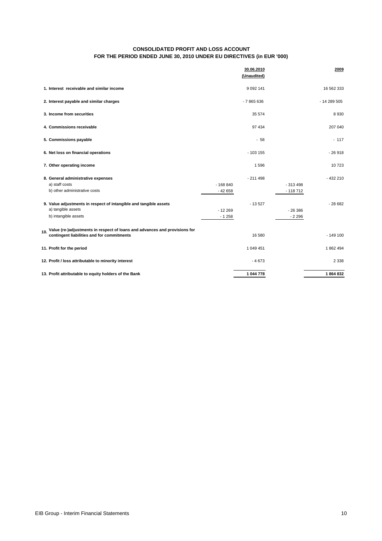#### **CONSOLIDATED PROFIT AND LOSS ACCOUNT FOR THE PERIOD ENDED JUNE 30, 2010 UNDER EU DIRECTIVES (in EUR '000)**

|                                                                                                                                 |                       | 30.06.2010<br>(Unaudited) |                        | 2009        |
|---------------------------------------------------------------------------------------------------------------------------------|-----------------------|---------------------------|------------------------|-------------|
| 1. Interest receivable and similar income                                                                                       |                       | 9 0 9 2 1 4 1             |                        | 16 562 333  |
| 2. Interest payable and similar charges                                                                                         |                       | $-7865636$                |                        | $-14289505$ |
| 3. Income from securities                                                                                                       |                       | 35 574                    |                        | 8930        |
| 4. Commissions receivable                                                                                                       |                       | 97 434                    |                        | 207 040     |
| 5. Commissions payable                                                                                                          |                       | $-58$                     |                        | $-117$      |
| 6. Net loss on financial operations                                                                                             |                       | $-103155$                 |                        | $-26918$    |
| 7. Other operating income                                                                                                       |                       | 1596                      |                        | 10723       |
| 8. General administrative expenses<br>a) staff costs<br>b) other administrative costs                                           | $-168840$<br>$-42658$ | $-211498$                 | $-313498$<br>$-118712$ | $-432210$   |
| 9. Value adjustments in respect of intangible and tangible assets<br>a) tangible assets<br>b) intangible assets                 | $-12269$<br>$-1258$   | $-13527$                  | $-26386$<br>$-2296$    | $-28682$    |
| Value (re-)adjustments in respect of loans and advances and provisions for<br>10.<br>contingent liabilities and for commitments |                       | 16 580                    |                        | $-149100$   |
| 11. Profit for the period                                                                                                       |                       | 1 049 451                 |                        | 1862494     |
| 12. Profit / loss attributable to minority interest                                                                             |                       | $-4673$                   |                        | 2 3 3 8     |
| 13. Profit attributable to equity holders of the Bank                                                                           |                       | 1 044 778                 |                        | 1864832     |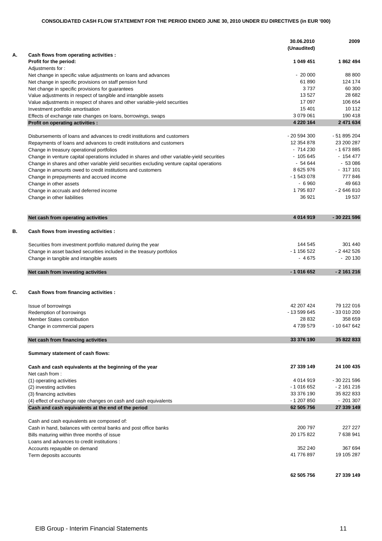|    |                                                                                                                | 30.06.2010<br>(Unaudited)  | 2009                      |
|----|----------------------------------------------------------------------------------------------------------------|----------------------------|---------------------------|
| А. | Cash flows from operating activities :<br>Profit for the period:                                               | 1 049 451                  | 1862494                   |
|    | Adjustments for:                                                                                               |                            |                           |
|    | Net change in specific value adjustments on loans and advances                                                 | $-20000$                   | 88 800                    |
|    | Net change in specific provisions on staff pension fund                                                        | 61890                      | 124 174                   |
|    | Net change in specific provisions for guarantees                                                               | 3737                       | 60 300                    |
|    | Value adjustments in respect of tangible and intangible assets                                                 | 13 5 27                    | 28 682                    |
|    | Value adjustments in respect of shares and other variable-yield securities                                     | 17 097                     | 106 654                   |
|    | Investment portfolio amortisation                                                                              | 15 401                     | 10 112                    |
|    | Effects of exchange rate changes on loans, borrowings, swaps<br>Profit on operating activities :               | 3 079 061<br>4 220 164     | 190 418<br>2 471 634      |
|    |                                                                                                                |                            |                           |
|    | Disbursements of loans and advances to credit institutions and customers                                       | - 20 594 300               | - 51 895 204              |
|    | Repayments of loans and advances to credit institutions and customers                                          | 12 354 878                 | 23 200 287                |
|    | Change in treasury operational portfolios                                                                      | $-714230$                  | - 1 673 885               |
|    | Change in venture capital operations included in shares and other variable-yield securities                    | $-105645$                  | $-154477$                 |
|    | Change in shares and other variable yield securities excluding venture capital operations                      | $-54644$                   | $-53086$                  |
|    | Change in amounts owed to credit institutions and customers                                                    | 8 625 976                  | $-317101$                 |
|    | Change in prepayments and accrued income                                                                       | $-1543078$                 | 777846                    |
|    | Change in other assets                                                                                         | $-6960$                    | 49 663                    |
|    | Change in accruals and deferred income                                                                         | 1795837                    | $-2646810$                |
|    | Change in other liabilities                                                                                    | 36 921                     | 19537                     |
|    | Net cash from operating activities                                                                             | 4 014 919                  | - 30 221 596              |
| В. | Cash flows from investing activities :                                                                         |                            |                           |
|    |                                                                                                                |                            |                           |
|    | Securities from investment portfolio matured during the year                                                   | 144 545                    | 301 440                   |
|    | Change in asset backed securities included in the treasury portfolios                                          | $-1156522$                 | $-2442526$                |
|    | Change in tangible and intangible assets                                                                       | $-4675$                    | $-20130$                  |
|    | Net cash from investing activities                                                                             | $-1016652$                 | $-2161216$                |
| C. | Cash flows from financing activities :                                                                         |                            |                           |
|    |                                                                                                                |                            |                           |
|    | Issue of borrowings                                                                                            | 42 207 424<br>- 13 599 645 | 79 122 016<br>-33 010 200 |
|    | Redemption of borrowings<br><b>Member States contribution</b>                                                  | 28 832                     | 358 659                   |
|    | Change in commercial papers                                                                                    | 4739579                    | $-10647642$               |
|    |                                                                                                                |                            |                           |
|    | Net cash from financing activities                                                                             | 33 376 190                 | 35 822 833                |
|    | Summary statement of cash flows:                                                                               |                            |                           |
|    | Cash and cash equivalents at the beginning of the year<br>Net cash from:                                       | 27 339 149                 | 24 100 435                |
|    | (1) operating activities                                                                                       | 4 0 14 9 19                | - 30 221 596              |
|    | (2) investing activities                                                                                       | $-1016652$                 | $-2161216$                |
|    | (3) financing activities                                                                                       | 33 376 190                 | 35 822 833                |
|    | (4) effect of exchange rate changes on cash and cash equivalents                                               | $-1207850$                 | $-201307$                 |
|    | Cash and cash equivalents at the end of the period                                                             | 62 505 756                 | 27 339 149                |
|    |                                                                                                                |                            |                           |
|    | Cash and cash equivalents are composed of:                                                                     | 200 797                    | 227 227                   |
|    | Cash in hand, balances with central banks and post office banks<br>Bills maturing within three months of issue | 20 175 822                 | 7 638 941                 |
|    | Loans and advances to credit institutions :                                                                    |                            |                           |
|    | Accounts repayable on demand                                                                                   | 352 240                    | 367 694                   |
|    | Term deposits accounts                                                                                         | 41 776 897                 | 19 105 287                |
|    |                                                                                                                |                            |                           |
|    |                                                                                                                | 62 505 756                 | 27 339 149                |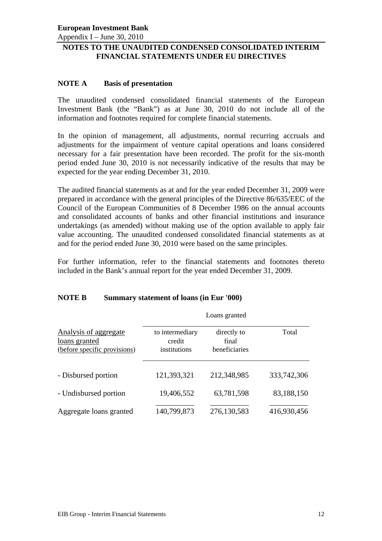Appendix I – June 30, 2010

# **NOTES TO THE UNAUDITED CONDENSED CONSOLIDATED INTERIM FINANCIAL STATEMENTS UNDER EU DIRECTIVES**

# **NOTE A Basis of presentation**

The unaudited condensed consolidated financial statements of the European Investment Bank (the "Bank") as at June 30, 2010 do not include all of the information and footnotes required for complete financial statements.

In the opinion of management, all adjustments, normal recurring accruals and adjustments for the impairment of venture capital operations and loans considered necessary for a fair presentation have been recorded. The profit for the six-month period ended June 30, 2010 is not necessarily indicative of the results that may be expected for the year ending December 31, 2010.

The audited financial statements as at and for the year ended December 31, 2009 were prepared in accordance with the general principles of the Directive 86/635/EEC of the Council of the European Communities of 8 December 1986 on the annual accounts and consolidated accounts of banks and other financial institutions and insurance undertakings (as amended) without making use of the option available to apply fair value accounting. The unaudited condensed consolidated financial statements as at and for the period ended June 30, 2010 were based on the same principles.

For further information, refer to the financial statements and footnotes thereto included in the Bank's annual report for the year ended December 31, 2009.

## **NOTE B Summary statement of loans (in Eur '000)**

|                                                                        | Loans granted                             |                                       |             |  |  |
|------------------------------------------------------------------------|-------------------------------------------|---------------------------------------|-------------|--|--|
| Analysis of aggregate<br>loans granted<br>(before specific provisions) | to intermediary<br>credit<br>institutions | directly to<br>final<br>beneficiaries | Total       |  |  |
| - Disbursed portion                                                    | 121,393,321                               | 212,348,985                           | 333,742,306 |  |  |
| - Undisbursed portion                                                  | 19,406,552                                | 63,781,598                            | 83,188,150  |  |  |
| Aggregate loans granted                                                | 140,799,873                               | 276,130,583                           | 416,930,456 |  |  |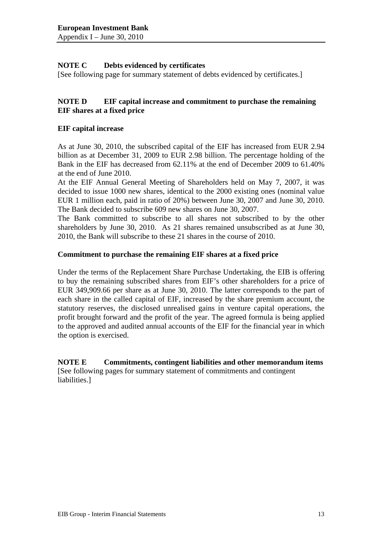# **NOTE C Debts evidenced by certificates**

[See following page for summary statement of debts evidenced by certificates.]

# **NOTE D EIF capital increase and commitment to purchase the remaining EIF shares at a fixed price**

## **EIF capital increase**

As at June 30, 2010, the subscribed capital of the EIF has increased from EUR 2.94 billion as at December 31, 2009 to EUR 2.98 billion. The percentage holding of the Bank in the EIF has decreased from 62.11% at the end of December 2009 to 61.40% at the end of June 2010.

At the EIF Annual General Meeting of Shareholders held on May 7, 2007, it was decided to issue 1000 new shares, identical to the 2000 existing ones (nominal value EUR 1 million each, paid in ratio of 20%) between June 30, 2007 and June 30, 2010. The Bank decided to subscribe 609 new shares on June 30, 2007.

The Bank committed to subscribe to all shares not subscribed to by the other shareholders by June 30, 2010. As 21 shares remained unsubscribed as at June 30, 2010, the Bank will subscribe to these 21 shares in the course of 2010.

## **Commitment to purchase the remaining EIF shares at a fixed price**

Under the terms of the Replacement Share Purchase Undertaking, the EIB is offering to buy the remaining subscribed shares from EIF's other shareholders for a price of EUR 349,909.66 per share as at June 30, 2010. The latter corresponds to the part of each share in the called capital of EIF, increased by the share premium account, the statutory reserves, the disclosed unrealised gains in venture capital operations, the profit brought forward and the profit of the year. The agreed formula is being applied to the approved and audited annual accounts of the EIF for the financial year in which the option is exercised.

**NOTE E Commitments, contingent liabilities and other memorandum items**  [See following pages for summary statement of commitments and contingent liabilities.]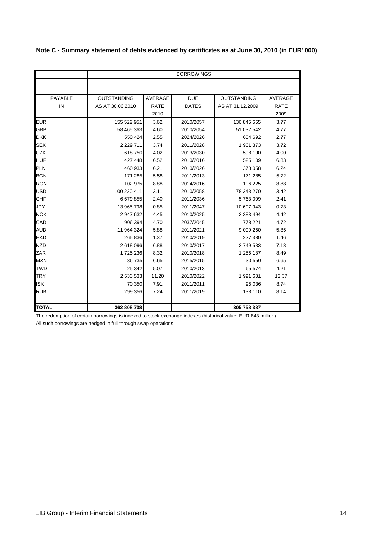|  | Note C - Summary statement of debts evidenced by certificates as at June 30, 2010 (in EUR' 000) |  |  |  |  |  |
|--|-------------------------------------------------------------------------------------------------|--|--|--|--|--|
|--|-------------------------------------------------------------------------------------------------|--|--|--|--|--|

|              | <b>BORROWINGS</b>  |             |              |                    |                |  |
|--------------|--------------------|-------------|--------------|--------------------|----------------|--|
|              |                    |             |              |                    |                |  |
| PAYABLE      | <b>OUTSTANDING</b> | AVERAGE     | <b>DUE</b>   | <b>OUTSTANDING</b> | <b>AVERAGE</b> |  |
| IN           | AS AT 30.06.2010   | <b>RATE</b> | <b>DATES</b> | AS AT 31.12.2009   | <b>RATE</b>    |  |
|              |                    | 2010        |              |                    | 2009           |  |
| <b>EUR</b>   | 155 522 951        | 3.62        | 2010/2057    | 136 846 665        | 3.77           |  |
| <b>GBP</b>   | 58 465 363         | 4.60        | 2010/2054    | 51 032 542         | 4.77           |  |
| <b>DKK</b>   | 550 424            | 2.55        | 2024/2026    | 604 692            | 2.77           |  |
| <b>SEK</b>   | 2 2 2 9 7 1 1      | 3.74        | 2011/2028    | 1961373            | 3.72           |  |
| <b>CZK</b>   | 618750             | 4.02        | 2013/2030    | 598 190            | 4.00           |  |
| <b>HUF</b>   | 427 448            | 6.52        | 2010/2016    | 525 109            | 6.83           |  |
| <b>PLN</b>   | 460 933            | 6.21        | 2010/2026    | 378 058            | 6.24           |  |
| <b>BGN</b>   | 171 285            | 5.58        | 2011/2013    | 171 285            | 5.72           |  |
| <b>RON</b>   | 102 975            | 8.88        | 2014/2016    | 106 225            | 8.88           |  |
| <b>USD</b>   | 100 220 411        | 3.11        | 2010/2058    | 78 348 270         | 3.42           |  |
| <b>CHF</b>   | 6679855            | 2.40        | 2011/2036    | 5763009            | 2.41           |  |
| JPY          | 13 965 798         | 0.85        | 2011/2047    | 10 607 943         | 0.73           |  |
| <b>NOK</b>   | 2 947 632          | 4.45        | 2010/2025    | 2 383 494          | 4.42           |  |
| CAD          | 906 394            | 4.70        | 2037/2045    | 778 221            | 4.72           |  |
| <b>AUD</b>   | 11 964 324         | 5.88        | 2011/2021    | 9 0 9 26 0         | 5.85           |  |
| <b>HKD</b>   | 265 836            | 1.37        | 2010/2019    | 227 380            | 1.46           |  |
| <b>NZD</b>   | 2 618 096          | 6.88        | 2010/2017    | 2749583            | 7.13           |  |
| ZAR          | 1725236            | 8.32        | 2010/2018    | 1 256 187          | 8.49           |  |
| <b>MXN</b>   | 36 735             | 6.65        | 2015/2015    | 30 550             | 6.65           |  |
| <b>TWD</b>   | 25 342             | 5.07        | 2010/2013    | 65 574             | 4.21           |  |
| <b>TRY</b>   | 2 533 533          | 11.20       | 2010/2022    | 1 991 631          | 12.37          |  |
| <b>ISK</b>   | 70 350             | 7.91        | 2011/2011    | 95 036             | 8.74           |  |
| <b>RUB</b>   | 299 356            | 7.24        | 2011/2019    | 138 110            | 8.14           |  |
|              |                    |             |              |                    |                |  |
| <b>TOTAL</b> | 362 808 738        |             |              | 305 758 387        |                |  |

The redemption of certain borrowings is indexed to stock exchange indexes (historical value: EUR 843 million). All such borrowings are hedged in full through swap operations.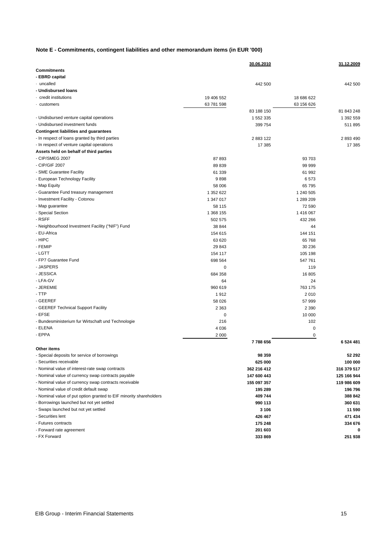#### **Note E - Commitments, contingent liabilities and other memorandum items (in EUR '000)**

|                                                                    |             | 30.06.2010  |            | 31.12.2009  |
|--------------------------------------------------------------------|-------------|-------------|------------|-------------|
| <b>Commitments</b>                                                 |             |             |            |             |
| - EBRD capital                                                     |             |             |            |             |
| · uncalled                                                         |             | 442 500     |            | 442 500     |
| - Undisbursed loans                                                |             |             |            |             |
| credit institutions                                                | 19 406 552  |             | 18 686 622 |             |
| customers .                                                        | 63 781 598  |             | 63 156 626 |             |
|                                                                    |             | 83 188 150  |            | 81 843 248  |
| - Undisbursed venture capital operations                           |             | 1 552 335   |            | 1 392 559   |
| - Undisbursed investment funds                                     |             | 399 754     |            | 511 895     |
| <b>Contingent liabilities and guarantees</b>                       |             |             |            |             |
| - In respect of loans granted by third parties                     |             | 2883122     |            | 2 893 490   |
| - In respect of venture capital operations                         |             | 17 385      |            | 17 385      |
| Assets held on behalf of third parties                             |             |             |            |             |
| - CIP/SMEG 2007                                                    | 87893       |             | 93 703     |             |
| - CIP/GIF 2007                                                     | 89 839      |             | 99 999     |             |
| - SME Guarantee Facility                                           | 61 339      |             | 61 992     |             |
| - European Technology Facility                                     | 9898        |             | 6573       |             |
| - Map Equity                                                       | 58 006      |             | 65 795     |             |
| - Guarantee Fund treasury management                               | 1 352 622   |             | 1 240 505  |             |
| - Investment Facility - Cotonou                                    | 1 347 017   |             | 1 289 209  |             |
| - Map guarantee                                                    | 58 115      |             | 72 590     |             |
| - Special Section                                                  | 1 368 155   |             | 1 416 067  |             |
| - RSFF                                                             | 502 575     |             | 432 266    |             |
| - Neighbourhood Investment Facility ("NIF") Fund                   | 38 844      |             | 44         |             |
| - EU-Africa                                                        | 154 615     |             | 144 151    |             |
| - HIPC                                                             | 63 620      |             | 65 768     |             |
| - FEMIP                                                            | 29 843      |             | 30 236     |             |
| - LGTT                                                             | 154 117     |             | 105 198    |             |
| - FP7 Guarantee Fund                                               | 698 564     |             | 547 761    |             |
| - JASPERS                                                          | $\mathbf 0$ |             | 119        |             |
| - JESSICA                                                          | 684 358     |             | 16 805     |             |
| - LFA-GV                                                           | 64          |             | 24         |             |
| - JEREMIE                                                          | 960 619     |             | 763 175    |             |
| - TTP                                                              | 1912        |             | 2010       |             |
| - GEEREF                                                           | 58 0 26     |             | 57 999     |             |
| - GEEREF Technical Support Facility                                | 2 3 6 3     |             | 2 3 9 0    |             |
| - EFSE                                                             | $\mathbf 0$ |             | 10 000     |             |
| - Bundesministerium fur Wirtschaft und Technologie                 | 216         |             | 102        |             |
| - ELENA                                                            | 4 0 3 6     |             | 0          |             |
| - EPPA                                                             | 2 0 0 0     |             | 0          |             |
|                                                                    |             | 7788656     |            | 6 524 481   |
| Other items                                                        |             |             |            |             |
| - Special deposits for service of borrowings                       |             | 98 359      |            | 52 292      |
| - Securities receivable                                            |             | 625 000     |            | 100 000     |
| - Nominal value of interest-rate swap contracts                    |             | 362 216 412 |            | 316 379 517 |
| - Nominal value of currency swap contracts payable                 |             | 147 600 443 |            | 125 166 944 |
| - Nominal value of currency swap contracts receivable              |             | 155 097 357 |            | 119 986 609 |
| - Nominal value of credit default swap                             |             | 195 289     |            | 196 796     |
| - Nominal value of put option granted to EIF minority shareholders |             | 409 744     |            | 388 842     |
| - Borrowings launched but not yet settled                          |             | 990 113     |            | 360 631     |
| - Swaps launched but not yet settled                               |             | 3 106       |            | 11 590      |
| - Securities lent                                                  |             | 426 467     |            | 471 434     |
| - Futures contracts                                                |             | 175 248     |            | 334 676     |
| - Forward rate agreement                                           |             | 201 603     |            | 0           |
| - FX Forward                                                       |             | 333 869     |            | 251 938     |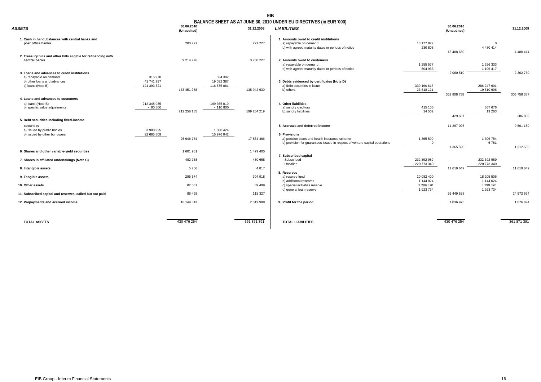#### **EIB**

#### **BALANCE SHEET AS AT JUNE 30, 2010 UNDER EU DIRECTIVES (in EUR '000)**

| <b>ASSETS</b>                                                                                                              | 30.06.2010<br>(Unaudited)              | 31.12.2009                              | <b>LIABILITIES</b>                                                                                                                           |                                   | 30.06.2010<br>(Unaudited) |                                   | 31.12.2009    |
|----------------------------------------------------------------------------------------------------------------------------|----------------------------------------|-----------------------------------------|----------------------------------------------------------------------------------------------------------------------------------------------|-----------------------------------|---------------------------|-----------------------------------|---------------|
| 1. Cash in hand, balances with central banks and<br>post office banks                                                      | 200 797                                | 227 227                                 | 1. Amounts owed to credit institutions<br>a) repayable on demand<br>b) with agreed maturity dates or periods of notice                       | 13 177 822<br>230 808             |                           | $\mathbf{0}$<br>4 4 8 0 4 1 4     | 4 4 8 0 4 1 4 |
| 2. Treasury bills and other bills eligible for refinancing with<br>central banks                                           | 9 214 276                              | 3788227                                 | 2. Amounts owed to customers<br>a) repayable on demand<br>b) with agreed maturity dates or periods of notice                                 | 1 255 577<br>804 933              | 13 408 630                | 1 256 333<br>1 106 417            |               |
| 3. Loans and advances to credit institutions<br>a) repayable on demand<br>b) other loans and advances<br>c) loans (Note B) | 315 970<br>41 741 997<br>121 393 321   | 334 382<br>19 032 387<br>116 575 861    | 3. Debts evidenced by certificates (Note D)<br>a) debt securities in issue                                                                   | 339 190 617                       | 2 060 510                 | 286 247 691                       | 2 362 750     |
| 4. Loans and advances to customers                                                                                         | 163 451 288                            | 135 942 630                             | b) others                                                                                                                                    | 23 618 121                        | 362 808 738               | 19 510 696                        | 305 758 387   |
| a) loans (Note B)<br>b) specific value adjustments                                                                         | 212 348 985<br>$-90800$<br>212 258 185 | 199 365 019<br>$-110800$<br>199 254 219 | 4. Other liabilities<br>a) sundry creditors<br>b) sundry liabilities                                                                         | 415 105<br>14 502                 | 429 607                   | 367 676<br>19 263                 | 386 939       |
| 5. Debt securities including fixed-income<br>securities<br>a) issued by public bodies                                      | 3 980 925                              | 1888424                                 | 5. Accruals and deferred income                                                                                                              |                                   | 11 297 026                |                                   | 9 501 189     |
| b) issued by other borrowers                                                                                               | 22 665 809<br>26 646 734               | 15 976 042<br>17 864 466                | 6. Provisions<br>a) pension plans and health insurance scheme<br>b) provision for quarantees issued in respect of venture capital operations | 1 365 590<br>$\overline{0}$       |                           | 1 306 754<br>5781                 |               |
| 6. Shares and other variable-yield securities                                                                              | 1 601 961                              | 1479405                                 | 7. Subscribed capital                                                                                                                        |                                   | 1 365 590                 |                                   | 1 312 535     |
| 7. Shares in affiliated undertakings (Note C)                                                                              | 482 768                                | 480 668                                 | - Subscribed<br>- Uncalled                                                                                                                   | 232 392 989<br>- 220 773 340      |                           | 232 392 989<br>- 220 773 340      |               |
| 8. Intangible assets<br>9. Tangible assets                                                                                 | 5756<br>295 674                        | 4 8 1 7<br>304 918                      | 8. Reserves<br>a) reserve fund                                                                                                               | 20 082 400                        | 11 619 649                | 18 205 506                        | 11 619 649    |
| 10. Other assets                                                                                                           | 82 507                                 | 89 499                                  | b) additional reserves<br>c) special activities reserve<br>d) general loan reserve                                                           | 1 144 024<br>3 299 370<br>1923734 |                           | 1 144 024<br>3 299 370<br>1923734 |               |
| 11. Subscribed capital and reserves, called but not paid                                                                   | 86 495                                 | 115 327                                 |                                                                                                                                              |                                   | 26 449 528                |                                   | 24 572 634    |
| 12. Prepayments and accrued income                                                                                         | 16 149 813                             | 2 319 988                               | 9. Profit for the period                                                                                                                     |                                   | 1 036 976                 |                                   | 1876894       |
| <b>TOTAL ASSETS</b>                                                                                                        | 430 476 254                            | 361 871 391                             | <b>TOTAL LIABILITIES</b>                                                                                                                     |                                   | 430 476 254               |                                   | 361 871 391   |

| 9 214 276   |                                      | 3788227       | 2. Amounts owed to customers<br>a) repayable on demand<br>b) with agreed maturity dates or periods of notice                                 | 1 255 577<br>804 933         | 2 060 510   | 1 256 333<br>1 106 417       | 2 362 750   |
|-------------|--------------------------------------|---------------|----------------------------------------------------------------------------------------------------------------------------------------------|------------------------------|-------------|------------------------------|-------------|
| 163 451 288 | 334 382<br>19 032 387<br>116 575 861 | 135 942 630   | 3. Debts evidenced by certificates (Note D)<br>a) debt securities in issue<br>b) others                                                      | 339 190 617<br>23 618 121    | 362 808 738 | 286 247 691<br>19510696      | 305 758 387 |
| 212 258 185 | 199 365 019<br>$-110800$             | 199 254 219   | 4. Other liabilities<br>a) sundry creditors<br>b) sundry liabilities                                                                         | 415 105<br>14 502            | 429 607     | 367 676<br>19 263            | 386 939     |
|             |                                      |               | 5. Accruals and deferred income                                                                                                              |                              | 11 297 026  |                              | 9 501 189   |
| 26 646 734  | 1888424<br>15 976 042                | 17 864 466    | 6. Provisions<br>a) pension plans and health insurance scheme<br>b) provision for quarantees issued in respect of venture capital operations | 1 365 590<br>$\mathbf{0}$    | 1 365 590   | 1 306 754<br>5781            | 1 312 535   |
| 1 601 961   |                                      | 1 479 405     |                                                                                                                                              |                              |             |                              |             |
| 482 768     |                                      | 480 668       | 7. Subscribed capital<br>- Subscribed<br>- Uncalled                                                                                          | 232 392 989<br>- 220 773 340 |             | 232 392 989<br>- 220 773 340 |             |
| 5756        |                                      | 4817          |                                                                                                                                              |                              | 11 619 649  |                              | 11 619 649  |
| 295 674     |                                      | 304 918       | 8. Reserves<br>a) reserve fund<br>b) additional reserves                                                                                     | 20 082 400<br>1 144 024      |             | 18 205 506<br>1 144 024      |             |
| 82 507      |                                      | 89 499        | c) special activities reserve                                                                                                                | 3 299 370                    |             | 3 299 370                    |             |
| 86 495      |                                      | 115 327       | d) general loan reserve                                                                                                                      | 1923734                      | 26 449 528  | 1 923 734                    | 24 572 634  |
| 16 149 813  |                                      | 2 3 1 9 9 8 8 | 9. Profit for the period                                                                                                                     |                              | 1036976     |                              | 1876894     |
|             |                                      |               |                                                                                                                                              |                              |             |                              |             |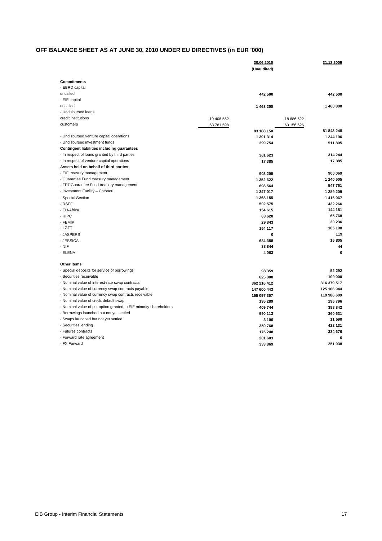# **OFF BALANCE SHEET AS AT JUNE 30, 2010 UNDER EU DIRECTIVES (in EUR '000)**

|                                                                    | 30.06.2010<br>(Unaudited) | 31.12.2009  |
|--------------------------------------------------------------------|---------------------------|-------------|
| <b>Commitments</b>                                                 |                           |             |
| - EBRD capital                                                     |                           |             |
| uncalled                                                           | 442 500                   | 442 500     |
| - EIF capital                                                      |                           |             |
| uncalled                                                           | 1 463 200                 | 1460800     |
| - Undisbursed loans                                                |                           |             |
| credit institutions                                                | 19 406 552                | 18 686 622  |
| customers                                                          | 63 781 598                | 63 156 626  |
|                                                                    | 83 188 150                | 81 843 248  |
| - Undisbursed venture capital operations                           | 1 391 314                 | 1 244 196   |
| - Undisbursed investment funds                                     | 399 754                   | 511 895     |
| Contingent liabilities including guarantees                        |                           |             |
| - In respect of loans granted by third parties                     | 361 623                   | 314 244     |
| - In respect of venture capital operations                         | 17 385                    | 17 385      |
| Assets held on behalf of third parties                             |                           |             |
| - EIF treasury management                                          | 903 205                   | 900 069     |
| - Guarantee Fund treasury management                               | 1 352 622                 | 1 240 505   |
| - FP7 Guarantee Fund treasury management                           | 698 564                   | 547 761     |
| - Investment Facility - Cotonou                                    | 1 347 017                 | 1 289 209   |
| - Special Section                                                  | 1 368 155                 | 1416067     |
| - RSFF                                                             | 502 575                   | 432 266     |
| - EU-Africa                                                        | 154 615                   | 144 151     |
| - HIPC                                                             | 63 620                    | 65768       |
| - FEMIP                                                            | 29843                     | 30 236      |
| - LGTT                                                             | 154 117                   | 105 198     |
| - JASPERS                                                          |                           | 0<br>119    |
| - JESSICA                                                          | 684 358                   | 16 805      |
| - NIF                                                              | 38 844                    | 44          |
| - ELENA                                                            | 4 0 6 3                   | 0           |
| Other items                                                        |                           |             |
| - Special deposits for service of borrowings                       | 98 359                    | 52 292      |
| - Securities receivable                                            | 625 000                   | 100 000     |
| - Nominal value of interest-rate swap contracts                    | 362 216 412               | 316 379 517 |
| - Nominal value of currency swap contracts payable                 | 147 600 443               | 125 166 944 |
| - Nominal value of currency swap contracts receivable              | 155 097 357               | 119 986 609 |
| - Nominal value of credit default swap                             | 195 289                   | 196 796     |
| - Nominal value of put option granted to EIF minority shareholders | 409 744                   | 388 842     |
| - Borrowings launched but not yet settled                          | 990 113                   | 360 631     |
| - Swaps launched but not yet settled                               | 3 1 0 6                   | 11 590      |
| - Securities lending                                               | 350 768                   | 422 131     |
| - Futures contracts                                                | 175 248                   | 334 676     |
| - Forward rate agreement                                           | 201 603                   | 0           |
| - FX Forward                                                       | 333 869                   | 251 938     |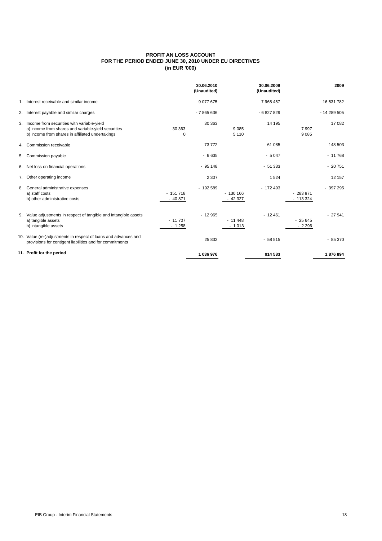#### **PROFIT AN LOSS ACCOUNT FOR THE PERIOD ENDED JUNE 30, 2010 UNDER EU DIRECTIVES (in EUR '000)**

|                                                                                                                                                          |                       | 30.06.2010<br>(Unaudited) |                       | 30.06.2009<br>(Unaudited) |                        | 2009        |
|----------------------------------------------------------------------------------------------------------------------------------------------------------|-----------------------|---------------------------|-----------------------|---------------------------|------------------------|-------------|
| 1. Interest receivable and similar income                                                                                                                |                       | 9077675                   |                       | 7 965 457                 |                        | 16 531 782  |
| 2. Interest payable and similar charges                                                                                                                  |                       | $-7865636$                |                       | $-6827829$                |                        | $-14289505$ |
| 3. Income from securities with variable-yield<br>a) income from shares and variable-yield securities<br>b) income from shares in affiliated undertakings | 30 363<br>0           | 30 363                    | 9 0 8 5<br>5 1 1 0    | 14 195                    | 7997<br>9085           | 17 082      |
| 4. Commission receivable                                                                                                                                 |                       | 73772                     |                       | 61 085                    |                        | 148 503     |
| 5. Commission payable                                                                                                                                    |                       | $-6635$                   |                       | $-5047$                   |                        | $-11768$    |
| 6. Net loss on financial operations                                                                                                                      |                       | $-95148$                  |                       | $-51333$                  |                        | $-20751$    |
| 7. Other operating income                                                                                                                                |                       | 2 3 0 7                   |                       | 1524                      |                        | 12 157      |
| 8. General administrative expenses<br>a) staff costs<br>b) other administrative costs                                                                    | $-151718$<br>$-40871$ | $-192589$                 | $-130166$<br>$-42327$ | $-172493$                 | $-283971$<br>$-113324$ | $-397295$   |
| 9. Value adjustments in respect of tangible and intangible assets<br>a) tangible assets<br>b) intangible assets                                          | $-11707$<br>$-1258$   | $-12965$                  | $-11448$<br>$-1013$   | $-12461$                  | $-25645$<br>$-2296$    | $-27941$    |
| 10. Value (re-)adjustments in respect of loans and advances and<br>provisions for contigent liabilities and for commitments                              |                       | 25 832                    |                       | $-58515$                  |                        | $-85370$    |
| 11. Profit for the period                                                                                                                                |                       | 1036976                   |                       | 914 583                   |                        | 1876894     |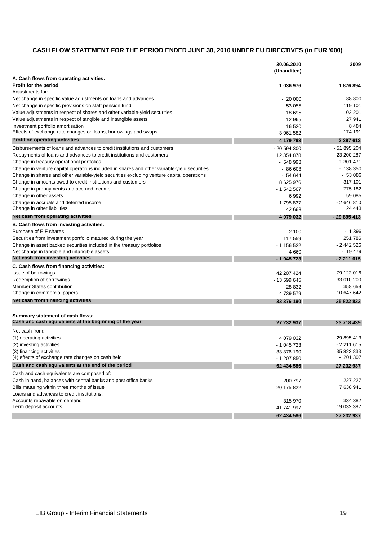# **CASH FLOW STATEMENT FOR THE PERIOD ENDED JUNE 30, 2010 UNDER EU DIRECTIVES (in EUR '000)**

|                                                                                             | 30.06.2010   | 2009            |
|---------------------------------------------------------------------------------------------|--------------|-----------------|
|                                                                                             | (Unaudited)  |                 |
| A. Cash flows from operating activities:                                                    |              |                 |
| <b>Profit for the period</b>                                                                | 1 036 976    | 1876894         |
| Adjustments for:                                                                            |              |                 |
| Net change in specific value adjustments on loans and advances                              | $-20000$     | 88 800          |
| Net change in specific provisions on staff pension fund                                     | 53 055       | 119 101         |
| Value adjustments in respect of shares and other variable-yield securities                  | 18 695       | 102 201         |
| Value adjustments in respect of tangible and intangible assets                              | 12 965       | 27 941          |
| Investment portfolio amortisation                                                           | 16 5 20      | 8484<br>174 191 |
| Effects of exchange rate changes on loans, borrowings and swaps                             | 3 061 582    |                 |
| <b>Profit on operating activities</b>                                                       | 4 179 793    | 2 397 612       |
| Disbursements of loans and advances to credit institutions and customers                    | $-20594300$  | - 51 895 204    |
| Repayments of loans and advances to credit institutions and customers                       | 12 354 878   | 23 200 287      |
| Change in treasury operational portfolios                                                   | $-648993$    | $-1301471$      |
| Change in venture capital operations included in shares and other variable-yield securities | $-86608$     | $-138350$       |
| Change in shares and other variable-yield securities excluding venture capital operations   | - 54 644     | - 53 086        |
| Change in amounts owed to credit institutions and customers                                 | 8 625 976    | $-317101$       |
| Change in prepayments and accrued income                                                    | $-1542567$   | 775 182         |
| Change in other assets                                                                      | 6992         | 59 085          |
| Change in accruals and deferred income                                                      | 1795837      | $-2646810$      |
| Change in other liabilities                                                                 | 42 668       | 24 443          |
| Net cash from operating activities                                                          | 4 079 032    | $-29895413$     |
| B. Cash flows from investing activities:                                                    |              |                 |
| Purchase of EIF shares                                                                      | $-2100$      | $-1396$         |
| Securities from investment portfolio matured during the year                                | 117 559      | 251786          |
| Change in asset backed securities included in the treasury portfolios                       | - 1 156 522  | $-2442526$      |
| Net change in tangible and intangible assets                                                | $-4660$      | - 19 479        |
| Net cash from investing activities                                                          | $-1045723$   | $-2211615$      |
| C. Cash flows from financing activities:                                                    |              |                 |
| Issue of borrowings                                                                         | 42 207 424   | 79 122 016      |
| Redemption of borrowings                                                                    | - 13 599 645 | -33 010 200     |
| Member States contribution                                                                  | 28 832       | 358 659         |
| Change in commercial papers                                                                 | 4739579      | - 10 647 642    |
| Net cash from financing activities                                                          | 33 376 190   | 35 822 833      |
|                                                                                             |              |                 |
| Summary statement of cash flows:                                                            |              |                 |
| Cash and cash equivalents at the beginning of the year                                      | 27 232 937   | 23 718 439      |
| Net cash from:                                                                              |              |                 |
| (1) operating activities                                                                    | 4 079 032    | - 29 895 413    |
| (2) investing activities                                                                    | - 1 045 723  | $-2211615$      |
| (3) financing activities                                                                    | 33 376 190   | 35 822 833      |
| (4) effects of exchange rate changes on cash held                                           | - 1 207 850  | $-201307$       |
| Cash and cash equivalents at the end of the period                                          | 62 434 586   | 27 232 937      |
| Cash and cash equivalents are composed of:                                                  |              |                 |
| Cash in hand, balances with central banks and post office banks                             | 200 797      | 227 227         |
| Bills maturing within three months of issue                                                 | 20 175 822   | 7 638 941       |
| Loans and advances to credit institutions:                                                  |              |                 |
| Accounts repayable on demand                                                                | 315 970      | 334 382         |
| Term deposit accounts                                                                       | 41 741 997   | 19 032 387      |
|                                                                                             | 62 434 586   | 27 232 937      |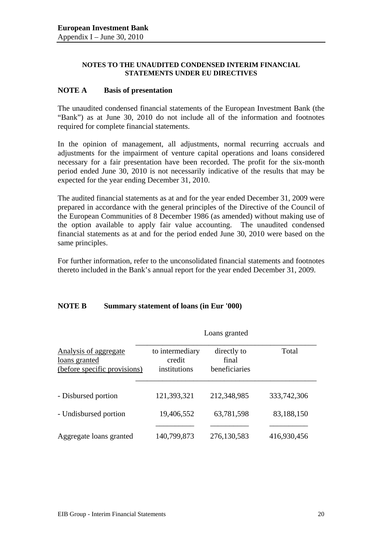#### **NOTES TO THE UNAUDITED CONDENSED INTERIM FINANCIAL STATEMENTS UNDER EU DIRECTIVES**

## **NOTE A Basis of presentation**

The unaudited condensed financial statements of the European Investment Bank (the "Bank") as at June 30, 2010 do not include all of the information and footnotes required for complete financial statements.

In the opinion of management, all adjustments, normal recurring accruals and adjustments for the impairment of venture capital operations and loans considered necessary for a fair presentation have been recorded. The profit for the six-month period ended June 30, 2010 is not necessarily indicative of the results that may be expected for the year ending December 31, 2010.

The audited financial statements as at and for the year ended December 31, 2009 were prepared in accordance with the general principles of the Directive of the Council of the European Communities of 8 December 1986 (as amended) without making use of the option available to apply fair value accounting. The unaudited condensed financial statements as at and for the period ended June 30, 2010 were based on the same principles.

For further information, refer to the unconsolidated financial statements and footnotes thereto included in the Bank's annual report for the year ended December 31, 2009.

# **NOTE B Summary statement of loans (in Eur '000)**

|                                                                        |                                           | Loans granted                         |             |
|------------------------------------------------------------------------|-------------------------------------------|---------------------------------------|-------------|
| Analysis of aggregate<br>loans granted<br>(before specific provisions) | to intermediary<br>credit<br>institutions | directly to<br>final<br>beneficiaries | Total       |
| - Disbursed portion                                                    | 121,393,321                               | 212,348,985                           | 333,742,306 |
| - Undisbursed portion                                                  | 19,406,552                                | 63,781,598                            | 83,188,150  |
| Aggregate loans granted                                                | 140,799,873                               | 276,130,583                           | 416,930,456 |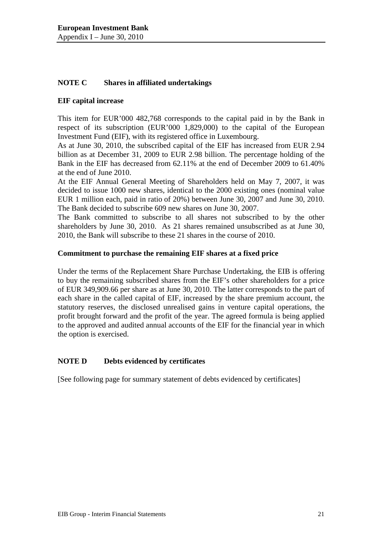# **NOTE C Shares in affiliated undertakings**

## **EIF capital increase**

This item for EUR'000 482,768 corresponds to the capital paid in by the Bank in respect of its subscription (EUR'000 1,829,000) to the capital of the European Investment Fund (EIF), with its registered office in Luxembourg.

As at June 30, 2010, the subscribed capital of the EIF has increased from EUR 2.94 billion as at December 31, 2009 to EUR 2.98 billion. The percentage holding of the Bank in the EIF has decreased from 62.11% at the end of December 2009 to 61.40% at the end of June 2010.

At the EIF Annual General Meeting of Shareholders held on May 7, 2007, it was decided to issue 1000 new shares, identical to the 2000 existing ones (nominal value EUR 1 million each, paid in ratio of 20%) between June 30, 2007 and June 30, 2010. The Bank decided to subscribe 609 new shares on June 30, 2007.

The Bank committed to subscribe to all shares not subscribed to by the other shareholders by June 30, 2010. As 21 shares remained unsubscribed as at June 30, 2010, the Bank will subscribe to these 21 shares in the course of 2010.

## **Commitment to purchase the remaining EIF shares at a fixed price**

Under the terms of the Replacement Share Purchase Undertaking, the EIB is offering to buy the remaining subscribed shares from the EIF's other shareholders for a price of EUR 349,909.66 per share as at June 30, 2010. The latter corresponds to the part of each share in the called capital of EIF, increased by the share premium account, the statutory reserves, the disclosed unrealised gains in venture capital operations, the profit brought forward and the profit of the year. The agreed formula is being applied to the approved and audited annual accounts of the EIF for the financial year in which the option is exercised.

# **NOTE D Debts evidenced by certificates**

[See following page for summary statement of debts evidenced by certificates]